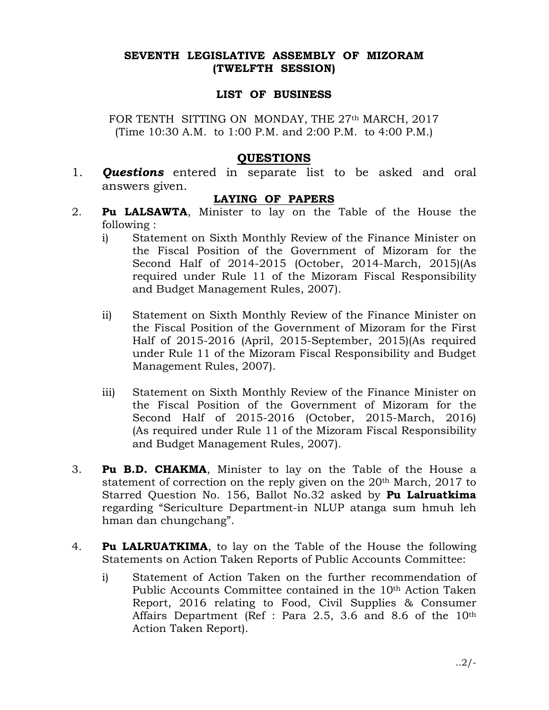### SEVENTH LEGISLATIVE ASSEMBLY OF MIZORAM (TWELFTH SESSION)

#### LIST OF BUSINESS

FOR TENTH SITTING ON MONDAY, THE 27<sup>th</sup> MARCH, 2017 (Time 10:30 A.M. to 1:00 P.M. and 2:00 P.M. to 4:00 P.M.)

## **OUESTIONS**

1. **Questions** entered in separate list to be asked and oral answers given.

### LAYING OF PAPERS

- 2. **Pu LALSAWTA**, Minister to lay on the Table of the House the following :
	- i) Statement on Sixth Monthly Review of the Finance Minister on the Fiscal Position of the Government of Mizoram for the Second Half of 2014-2015 (October, 2014-March, 2015)(As required under Rule 11 of the Mizoram Fiscal Responsibility and Budget Management Rules, 2007).
	- ii) Statement on Sixth Monthly Review of the Finance Minister on the Fiscal Position of the Government of Mizoram for the First Half of 2015-2016 (April, 2015-September, 2015)(As required under Rule 11 of the Mizoram Fiscal Responsibility and Budget Management Rules, 2007).
	- iii) Statement on Sixth Monthly Review of the Finance Minister on the Fiscal Position of the Government of Mizoram for the Second Half of 2015-2016 (October, 2015-March, 2016) (As required under Rule 11 of the Mizoram Fiscal Responsibility and Budget Management Rules, 2007).
- 3. Pu B.D. CHAKMA, Minister to lay on the Table of the House a statement of correction on the reply given on the 20th March, 2017 to Starred Question No. 156, Ballot No.32 asked by Pu Lalruatkima regarding "Sericulture Department-in NLUP atanga sum hmuh leh hman dan chungchang".
- 4. **Pu LALRUATKIMA**, to lay on the Table of the House the following Statements on Action Taken Reports of Public Accounts Committee:
	- i) Statement of Action Taken on the further recommendation of Public Accounts Committee contained in the 10<sup>th</sup> Action Taken Report, 2016 relating to Food, Civil Supplies & Consumer Affairs Department (Ref : Para 2.5, 3.6 and 8.6 of the 10th Action Taken Report).